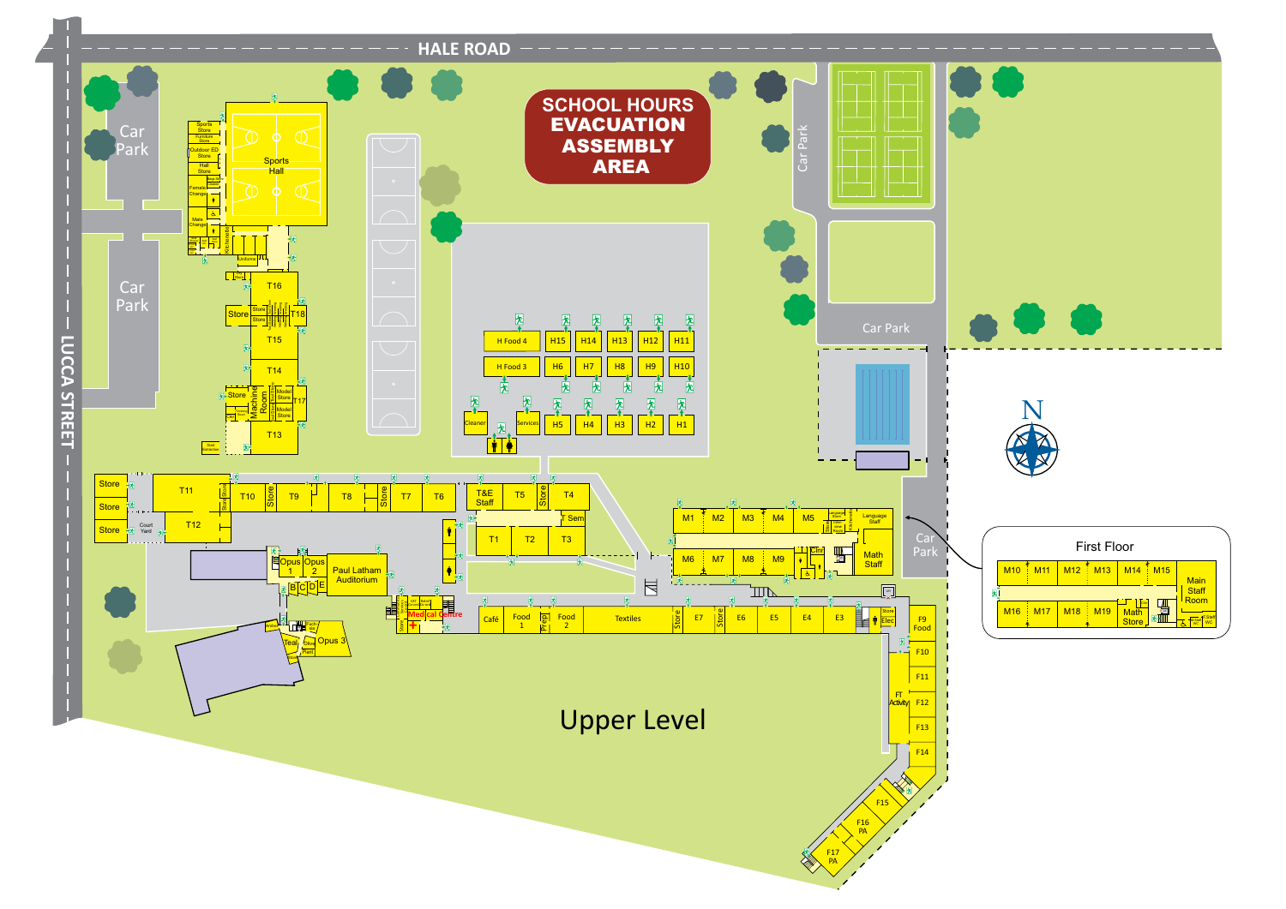

Car Park

Upper Level



Car Park

Store

F9 Food

 $\frac{1}{-1}$  F10

 $\frac{1}{1}$  F11

 $\frac{1}{1}$  F13

F14

Activity F12

 $F$ 

闲上

F16 PA

F17 PA

F15





|   |                 |                   |                                 | <b>First Floor</b> |                       |                      |                               |
|---|-----------------|-------------------|---------------------------------|--------------------|-----------------------|----------------------|-------------------------------|
|   | M <sub>10</sub> | M <sub>11</sub>   | M <sub>12</sub> M <sub>13</sub> |                    | M14                   | M <sub>15</sub><br>÷ | <b>Main</b>                   |
| 抚 |                 |                   |                                 |                    |                       |                      | <b>Staff</b><br>Room          |
|   | <b>M16</b>      | $\frac{1}{2}$ M17 | <b>M18</b>                      | $\pm$ M19          | <b>Math</b><br>Store. | 囷                    | F.Staf<br>M.Staf<br><b>WC</b> |

**X** Lift

**External Store**<br>External Store<br>External Elec

Math<br>Staff

Uniforms Dry Store

> Kitchenette Language<br>
> Store<br>
> Discribed<br>
> Boom Room

Language Staff